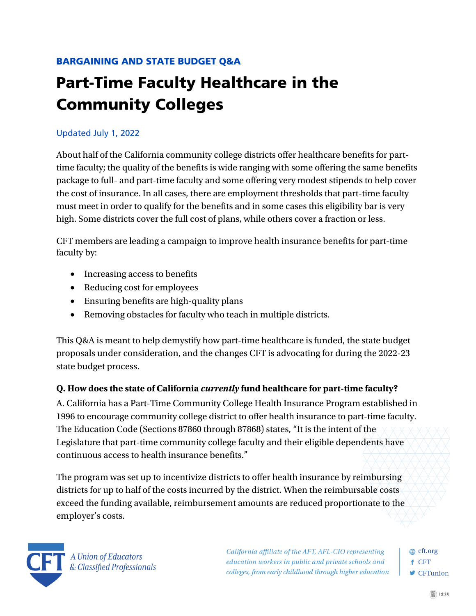# BARGAINING AND STATE BUDGET Q&A

# Part-Time Faculty Healthcare in the Community Colleges

#### Updated July 1, 2022

About half of the California community college districts offer healthcare benefits for parttime faculty; the quality of the benefits is wide ranging with some offering the same benefits package to full- and part-time faculty and some offering very modest stipends to help cover the cost of insurance. In all cases, there are employment thresholds that part-time faculty must meet in order to qualify for the benefits and in some cases this eligibility bar is very high. Some districts cover the full cost of plans, while others cover a fraction or less.

CFT members are leading a campaign to improve health insurance benefits for part-time faculty by:

- Increasing access to benefits
- Reducing cost for employees
- Ensuring benefits are high-quality plans
- Removing obstacles for faculty who teach in multiple districts.

This Q&A is meant to help demystify how part-time healthcare is funded, the state budget proposals under consideration, and the changes CFT is advocating for during the 2022-23 state budget process.

#### **Q. How does the state of California** *currently* **fund healthcare for part-time faculty?**

A. California has a Part-Time Community College Health Insurance Program established in 1996 to encourage community college district to offer health insurance to part-time faculty. The Education Code (Sections 87860 through 87868) states, "It is the intent of the Legislature that part-time community college faculty and their eligible dependents have continuous access to health insurance benefits."

The program was set up to incentivize districts to offer health insurance by reimbursing districts for up to half of the costs incurred by the district. When the reimbursable costs exceed the funding available, reimbursement amounts are reduced proportionate to the employer's costs.



California affiliate of the AFT, AFL-CIO representing education workers in public and private schools and colleges, from early childhood through higher education **⊕** cft.org f CFT **■** CFTunion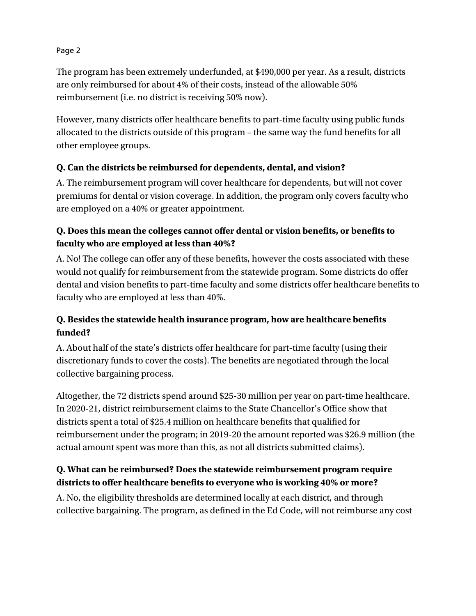The program has been extremely underfunded, at \$490,000 per year. As a result, districts are only reimbursed for about 4% of their costs, instead of the allowable 50% reimbursement (i.e. no district is receiving 50% now).

However, many districts offer healthcare benefits to part-time faculty using public funds allocated to the districts outside of this program – the same way the fund benefits for all other employee groups.

## **Q. Can the districts be reimbursed for dependents, dental, and vision?**

A. The reimbursement program will cover healthcare for dependents, but will not cover premiums for dental or vision coverage. In addition, the program only covers faculty who are employed on a 40% or greater appointment.

# **Q. Does this mean the colleges cannot offer dental or vision benefits, or benefits to faculty who are employed at less than 40%?**

A. No! The college can offer any of these benefits, however the costs associated with these would not qualify for reimbursement from the statewide program. Some districts do offer dental and vision benefits to part-time faculty and some districts offer healthcare benefits to faculty who are employed at less than 40%.

# **Q. Besides the statewide health insurance program, how are healthcare benefits funded?**

A. About half of the state's districts offer healthcare for part-time faculty (using their discretionary funds to cover the costs). The benefits are negotiated through the local collective bargaining process.

Altogether, the 72 districts spend around \$25-30 million per year on part-time healthcare. In 2020-21, district reimbursement claims to the State Chancellor's Office show that districts spent a total of \$25.4 million on healthcare benefits that qualified for reimbursement under the program; in 2019-20 the amount reported was \$26.9 million (the actual amount spent was more than this, as not all districts submitted claims).

# **Q. What can be reimbursed? Does the statewide reimbursement program require districts to offer healthcare benefits to everyone who is working 40% or more?**

A. No, the eligibility thresholds are determined locally at each district, and through collective bargaining. The program, as defined in the Ed Code, will not reimburse any cost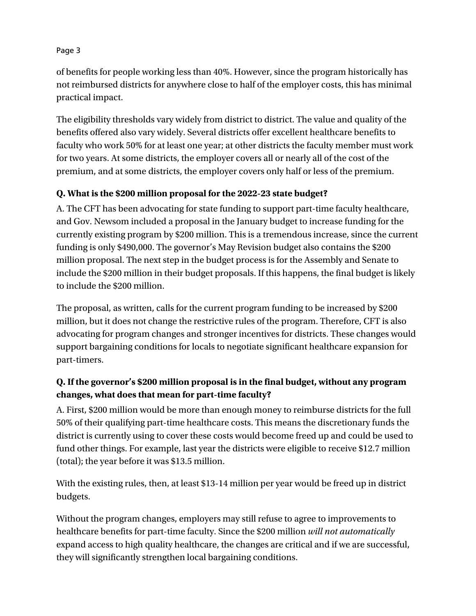of benefits for people working less than 40%. However, since the program historically has not reimbursed districts for anywhere close to half of the employer costs, this has minimal practical impact.

The eligibility thresholds vary widely from district to district. The value and quality of the benefits offered also vary widely. Several districts offer excellent healthcare benefits to faculty who work 50% for at least one year; at other districts the faculty member must work for two years. At some districts, the employer covers all or nearly all of the cost of the premium, and at some districts, the employer covers only half or less of the premium.

## **Q. What is the \$200 million proposal for the 2022-23 state budget?**

A. The CFT has been advocating for state funding to support part-time faculty healthcare, and Gov. Newsom included a proposal in the January budget to increase funding for the currently existing program by \$200 million. This is a tremendous increase, since the current funding is only \$490,000. The governor's May Revision budget also contains the \$200 million proposal. The next step in the budget process is for the Assembly and Senate to include the \$200 million in their budget proposals. If this happens, the final budget is likely to include the \$200 million.

The proposal, as written, calls for the current program funding to be increased by \$200 million, but it does not change the restrictive rules of the program. Therefore, CFT is also advocating for program changes and stronger incentives for districts. These changes would support bargaining conditions for locals to negotiate significant healthcare expansion for part-timers.

# **Q. If the governor's \$200 million proposal is in the final budget, without any program changes, what does that mean for part-time faculty?**

A. First, \$200 million would be more than enough money to reimburse districts for the full 50% of their qualifying part-time healthcare costs. This means the discretionary funds the district is currently using to cover these costs would become freed up and could be used to fund other things. For example, last year the districts were eligible to receive \$12.7 million (total); the year before it was \$13.5 million.

With the existing rules, then, at least \$13-14 million per year would be freed up in district budgets.

Without the program changes, employers may still refuse to agree to improvements to healthcare benefits for part-time faculty. Since the \$200 million *will not automatically*  expand access to high quality healthcare, the changes are critical and if we are successful, they will significantly strengthen local bargaining conditions.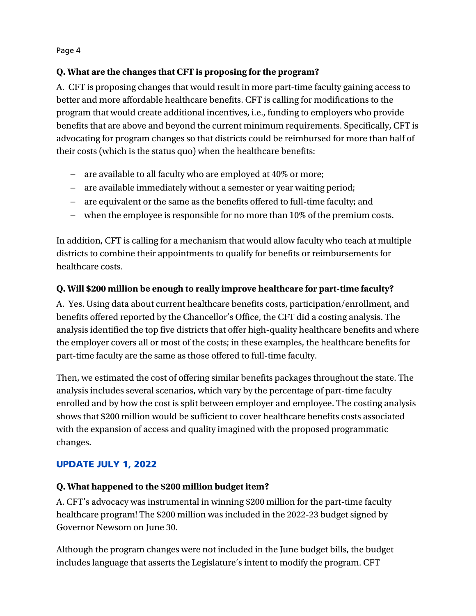#### **Q. What are the changes that CFT is proposing for the program?**

A. CFT is proposing changes that would result in more part-time faculty gaining access to better and more affordable healthcare benefits. CFT is calling for modifications to the program that would create additional incentives, i.e., funding to employers who provide benefits that are above and beyond the current minimum requirements. Specifically, CFT is advocating for program changes so that districts could be reimbursed for more than half of their costs (which is the status quo) when the healthcare benefits:

- are available to all faculty who are employed at 40% or more;
- are available immediately without a semester or year waiting period;
- are equivalent or the same as the benefits offered to full-time faculty; and
- when the employee is responsible for no more than 10% of the premium costs.

In addition, CFT is calling for a mechanism that would allow faculty who teach at multiple districts to combine their appointments to qualify for benefits or reimbursements for healthcare costs.

## **Q. Will \$200 million be enough to really improve healthcare for part-time faculty?**

A. Yes. Using data about current healthcare benefits costs, participation/enrollment, and benefits offered reported by the Chancellor's Office, the CFT did a costing analysis. The analysis identified the top five districts that offer high-quality healthcare benefits and where the employer covers all or most of the costs; in these examples, the healthcare benefits for part-time faculty are the same as those offered to full-time faculty.

Then, we estimated the cost of offering similar benefits packages throughout the state. The analysis includes several scenarios, which vary by the percentage of part-time faculty enrolled and by how the cost is split between employer and employee. The costing analysis shows that \$200 million would be sufficient to cover healthcare benefits costs associated with the expansion of access and quality imagined with the proposed programmatic changes.

# UPDATE JULY 1, 2022

#### **Q. What happened to the \$200 million budget item?**

A. CFT's advocacy was instrumental in winning \$200 million for the part-time faculty healthcare program! The \$200 million was included in the 2022-23 budget signed by Governor Newsom on June 30.

Although the program changes were not included in the June budget bills, the budget includes language that asserts the Legislature's intent to modify the program. CFT